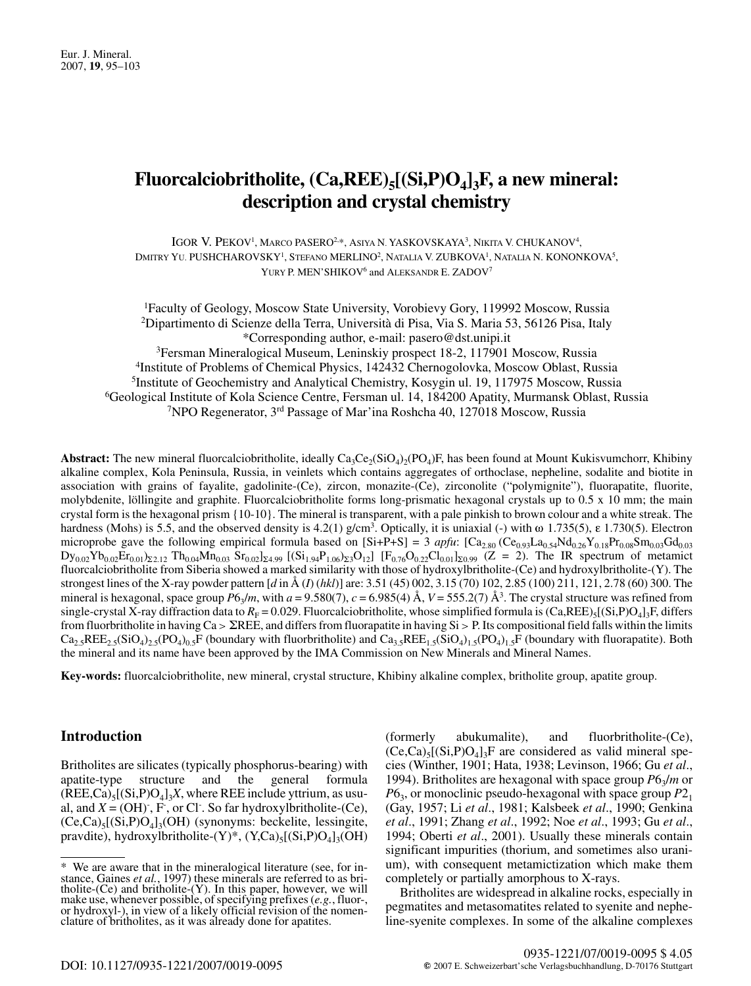# Fluorcalciobritholite,  $(Ca,REE)_{5}[(Si, P)O_{4}]_{3}F$ , a new mineral: description and crystal chemistry

IGOR V. PEKOV<sup>1</sup>, MARCO PASERO<sup>2,\*</sup>, ASIYA N. YASKOVSKAYA<sup>3</sup>, NIKITA V. CHUKANOV<sup>4</sup>, DMITRY YU. PUSHCHAROVSKY<sup>1</sup>, STEFANO MERLINO<sup>2</sup>, NATALIA V. ZUBKOVA<sup>1</sup>, NATALIA N. KONONKOVA<sup>5</sup>, YURY P. MEN'SHIKOV<sup>6</sup> and ALEKSANDR E. ZADOV<sup>7</sup>

<sup>1</sup>Faculty of Geology, Moscow State University, Vorobievy Gory, 119992 Moscow, Russia <sup>2</sup>Dipartimento di Scienze della Terra, Università di Pisa, Via S. Maria 53, 56126 Pisa, Italy \*Corresponding author, e-mail: pasero@dst.unipi.it <sup>3</sup>Fersman Mineralogical Museum, Leninskiy prospect 18-2, 117901 Moscow, Russia

<sup>4</sup>Institute of Problems of Chemical Physics, 142432 Chernogolovka, Moscow Oblast, Russia <sup>5</sup>Institute of Geochemistry and Analytical Chemistry, Kosygin ul. 19, 117975 Moscow, Russia <sup>6</sup>Geological Institute of Kola Science Centre, Fersman ul. 14, 184200 Apatity, Murmansk Oblast, Russia <sup>7</sup>NPO Regenerator, 3<sup>rd</sup> Passage of Mar'ina Roshcha 40, 127018 Moscow, Russia

**Abstract:** The new mineral fluorcalciobritholite, ideally  $Ca_3Ce_2(SiO_4)$ ,  $(PO_4)F$ , has been found at Mount Kukisvumchorr, Khibiny alkaline complex, Kola Peninsula, Russia, in veinlets which contains aggregates of orthoclase, nepheline, sodalite and biotite in association with grains of fayalite, gadolinite-(Ce), zircon, monazite-(Ce), zirconolite ("polymignite"), fluorapatite, fluorite, molybdenite, löllingite and graphite. Fluorcalciobritholite forms long-prismatic hexagonal crystals up to 0.5 x 10 mm; the main crystal form is the hexagonal prism {10-10}. The mineral is transparent, with a pale pinkish to brown colour and a white streak. The hardness (Mohs) is 5.5, and the observed density is 4.2(1)  $g/cm<sup>3</sup>$ . Optically, it is uniaxial (-) with  $\omega$  1.735(5),  $\varepsilon$  1.730(5). Electron microprobe gave the following empirical formula based on [Si+P+S] = 3 apfu: [Ca<sub>2.80</sub> (Ce<sub>0.93</sub>La<sub>0.54</sub>Nd<sub>0.26</sub>Y<sub>0.18</sub>Pr<sub>0.08</sub>Sm<sub>0.03</sub>Gd<sub>0.03</sub>  $Dy_{0.02}Yb_{0.02}Er_{0.01}z_{2.12}Th_{0.04}Mn_{0.03}Sr_{0.02}l_{\Sigma 4.99}[(Si_{1.94}P_{1.06}z_{23}O_{12}] [F_{0.76}O_{0.22}Cl_{0.01}l_{\Sigma 0.99} (Z = 2).$  The IR spectrum of metamict fluorcalciobritholite from Siberia showed a marked similarity with those of hydroxylbritholite-(Ce) and hydroxylbritholite-(Y). The strongest lines of the X-ray powder pattern [d in Å (I) (hkl)] are: 3.51 (45) 002, 3.15 (70) 102, 2.85 (100) 211, 121, 2.78 (60) 300. The mineral is hexagonal, space group  $P6\sqrt{m}$ , with  $a = 9.580(7)$ ,  $c = 6.985(4)$  Å,  $V = 555.2(7)$  Å<sup>3</sup>. The crystal structure was refined from single-crystal X-ray diffraction data to  $R_F = 0.029$ . Fluorcalciobritholite, whose simplified formula is  $(Ca,REE)_{5}[(Si, P)O_4]_{3}F$ , differs from fluorbritholite in having  $Ca > \Sigma REE$ , and differs from fluorapatite in having  $Si > P$ . Its compositional field falls within the limits  $Ca_2$ ,  $RE_2$ ,  $(SiO_4)$ ,  $(SiO_4)$ ,  $S$ F (boundary with fluorbritholite) and  $Ca_3$ ,  $REE_1$ ,  $(SiO_4)$ ,  $(SiO_4)$ ,  $S$ F (boundary with fluorapatite). Both the mineral and its name have been approved by the IMA Commission on New Minerals and Mineral Names.

Key-words: fluorcalciobritholite, new mineral, crystal structure, Khibiny alkaline complex, britholite group, apatite group.

# **Introduction**

Britholites are silicates (typically phosphorus-bearing) with and the apatite-type structure general formula  $(REE, Ca)_{5}[(Si, P)O_{4}]_{3}X$ , where REE include yttrium, as usual, and  $X = (OH)$ , F, or Cl. So far hydroxyl britholite-(Ce),  $(Ce, Ca)_{5}[(Si, P)O_{4}]_{3}(OH)$  (synonyms: beckelite, lessingite, pravdite), hydroxylbritholite- $(Y)^*$ ,  $(Y, Ca)_{5}[(Si, P)O_{4}]_{3}(OH)$  (formerly) abukumalite), and fluorbritholite-(Ce),  $(Ce, Ca)_{5}[(Si, P)O_{4}]_{3}F$  are considered as valid mineral species (Winther, 1901; Hata, 1938; Levinson, 1966; Gu et al., 1994). Britholites are hexagonal with space group  $P6<sub>3</sub>/m$  or  $P6_3$ , or monoclinic pseudo-hexagonal with space group  $P2_1$ (Gay, 1957; Li et al., 1981; Kalsbeek et al., 1990; Genkina et al., 1991; Zhang et al., 1992; Noe et al., 1993; Gu et al., 1994; Oberti et al., 2001). Usually these minerals contain significant impurities (thorium, and sometimes also uranium), with consequent metamictization which make them completely or partially amorphous to X-rays.

Britholites are widespread in alkaline rocks, especially in pegmatities and metasomatities related to syenite and nepheline-syenite complexes. In some of the alkaline complexes

<sup>\*</sup> We are aware that in the mineralogical literature (see, for instance, Gaines *et al.*, 1997) these minerals are referred to as britholite-(Ce) and britholite-(Y). In this paper, however, we will make use, whenever possible, of specifying prefixes  $(e, g,$ , fluor-, or hydroxyl-), in view of a likely official revision of the nomenclature of britholites, as it was already done for apatities.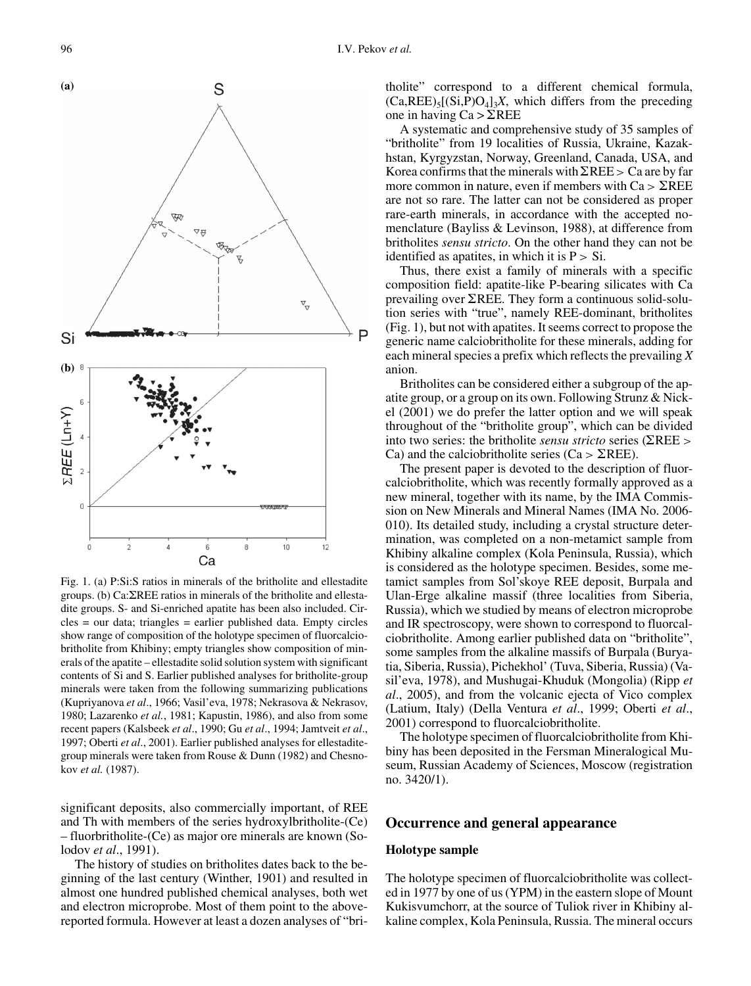

Fig. 1. (a) P:Si:S ratios in minerals of the britholite and ellestadite groups. (b)  $Ca:\Sigma$ REE ratios in minerals of the britholite and ellestadite groups. S- and Si-enriched apatite has been also included. Cir $cles = our data$ ; triangles = earlier published data. Empty circles show range of composition of the holotype specimen of fluorcalciobritholite from Khibiny; empty triangles show composition of minerals of the apatite - ellestadite solid solution system with significant contents of Si and S. Earlier published analyses for britholite-group minerals were taken from the following summarizing publications (Kupriyanova et al., 1966; Vasil'eva, 1978; Nekrasova & Nekrasov, 1980; Lazarenko et al., 1981; Kapustin, 1986), and also from some recent papers (Kalsbeek et al., 1990; Gu et al., 1994; Jamtveit et al., 1997; Oberti et al., 2001). Earlier published analyses for ellestaditegroup minerals were taken from Rouse  $&$  Dunn (1982) and Chesnokov et al. (1987).

significant deposits, also commercially important, of REE and Th with members of the series hydroxylbritholite-(Ce) - fluorbritholite-(Ce) as major ore minerals are known (Solodov et al., 1991).

The history of studies on britholites dates back to the beginning of the last century (Winther, 1901) and resulted in almost one hundred published chemical analyses, both wet and electron microprobe. Most of them point to the abovereported formula. However at least a dozen analyses of "britholite" correspond to a different chemical formula,  $(Ca,REE)_{5}[(Si, P)O_{4}]_{3}X$ , which differs from the preceding one in having  $Ca > \Sigma REE$ 

A systematic and comprehensive study of 35 samples of "britholite" from 19 localities of Russia, Ukraine, Kazakhstan, Kyrgyzstan, Norway, Greenland, Canada, USA, and Korea confirms that the minerals with  $\Sigma$ REE > Ca are by far more common in nature, even if members with  $Ca > \Sigma REE$ are not so rare. The latter can not be considered as proper rare-earth minerals, in accordance with the accepted nomenclature (Bayliss & Levinson, 1988), at difference from britholites *sensu stricto*. On the other hand they can not be identified as apatities, in which it is  $P > Si$ .

Thus, there exist a family of minerals with a specific composition field: apatite-like P-bearing silicates with Ca prevailing over  $\Sigma$ REE. They form a continuous solid-solution series with "true", namely REE-dominant, britholites (Fig. 1), but not with apatites. It seems correct to propose the generic name calciobritholite for these minerals, adding for each mineral species a prefix which reflects the prevailing  $X$ anion.

Britholites can be considered either a subgroup of the apatite group, or a group on its own. Following Strunz & Nickel (2001) we do prefer the latter option and we will speak throughout of the "britholite group", which can be divided into two series: the britholite *sensu stricto* series ( $\Sigma$ REE > Ca) and the calciobritholite series (Ca  $>$   $\Sigma$ REE).

The present paper is devoted to the description of fluorcalciobritholite, which was recently formally approved as a new mineral, together with its name, by the IMA Commission on New Minerals and Mineral Names (IMA No. 2006-010). Its detailed study, including a crystal structure determination, was completed on a non-metamict sample from Khibiny alkaline complex (Kola Peninsula, Russia), which is considered as the holotype specimen. Besides, some metamict samples from Sol'skoye REE deposit, Burpala and Ulan-Erge alkaline massif (three localities from Siberia, Russia), which we studied by means of electron microprobe and IR spectroscopy, were shown to correspond to fluorcalciobritholite. Among earlier published data on "britholite", some samples from the alkaline massifs of Burpala (Buryatia, Siberia, Russia), Pichekhol' (Tuva, Siberia, Russia) (Vasil'eva, 1978), and Mushugai-Khuduk (Mongolia) (Ripp et al., 2005), and from the volcanic ejecta of Vico complex (Latium, Italy) (Della Ventura et al., 1999; Oberti et al., 2001) correspond to fluorcalciobritholite.

The holotype specimen of fluorcalciobritholite from Khibiny has been deposited in the Fersman Mineralogical Museum, Russian Academy of Sciences, Moscow (registration no. 3420/1).

#### Occurrence and general appearance

#### **Holotype sample**

The holotype specimen of fluorcalciobritholite was collected in 1977 by one of us (YPM) in the eastern slope of Mount Kukisvumchorr, at the source of Tuliok river in Khibiny alkaline complex, Kola Peninsula, Russia. The mineral occurs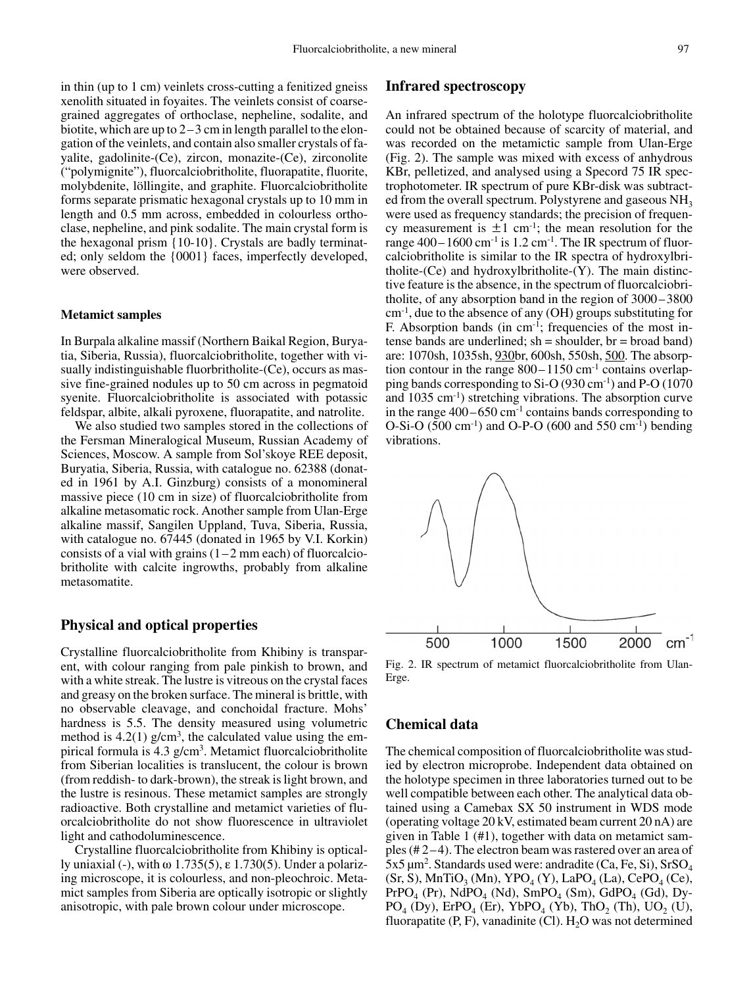in thin (up to 1 cm) veinlets cross-cutting a fenitized gneiss xenolith situated in foyaites. The veinlets consist of coarsegrained aggregates of orthoclase, nepheline, sodalite, and biotite, which are up to  $2-3$  cm in length parallel to the elongation of the veinlets, and contain also smaller crystals of favalite, gadolinite-(Ce), zircon, monazite-(Ce), zirconolite ("polymignite"), fluorcalciobritholite, fluorapatite, fluorite, molybdenite, löllingite, and graphite. Fluorcalciobritholite forms separate prismatic hexagonal crystals up to 10 mm in length and 0.5 mm across, embedded in colourless orthoclase, nepheline, and pink sodalite. The main crystal form is the hexagonal prism {10-10}. Crystals are badly terminated; only seldom the {0001} faces, imperfectly developed, were observed.

#### **Metamict samples**

In Burpala alkaline massif (Northern Baikal Region, Buryatia, Siberia, Russia), fluorcalciobritholite, together with visually indistinguishable fluorbritholite-(Ce), occurs as massive fine-grained nodules up to 50 cm across in pegmatoid syenite. Fluorcalciobritholite is associated with potassic feldspar, albite, alkali pyroxene, fluorapatite, and natrolite.

We also studied two samples stored in the collections of the Fersman Mineralogical Museum, Russian Academy of Sciences, Moscow. A sample from Sol'skoye REE deposit, Buryatia, Siberia, Russia, with catalogue no. 62388 (donated in 1961 by A.I. Ginzburg) consists of a monomineral massive piece (10 cm in size) of fluorcalciobritholite from alkaline metasomatic rock. Another sample from Ulan-Erge alkaline massif, Sangilen Uppland, Tuva, Siberia, Russia, with catalogue no. 67445 (donated in 1965 by V.I. Korkin) consists of a vial with grains  $(1-2$  mm each) of fluorcalciobritholite with calcite ingrowths, probably from alkaline metasomatite.

## **Physical and optical properties**

Crystalline fluorcalciobritholite from Khibiny is transparent, with colour ranging from pale pinkish to brown, and with a white streak. The lustre is vitreous on the crystal faces and greasy on the broken surface. The mineral is brittle, with no observable cleavage, and conchoidal fracture. Mohs' hardness is 5.5. The density measured using volumetric method is  $4.2(1)$  g/cm<sup>3</sup>, the calculated value using the empirical formula is  $4.3$  g/cm<sup>3</sup>. Metamict fluorealciobritholite from Siberian localities is translucent, the colour is brown (from reddish- to dark-brown), the streak is light brown, and the lustre is resinous. These metamict samples are strongly radioactive. Both crystalline and metamict varieties of fluorcalciobritholite do not show fluorescence in ultraviolet light and cathodoluminescence.

Crystalline fluorcalciobritholite from Khibiny is optically uniaxial (-), with  $\omega$  1.735(5),  $\varepsilon$  1.730(5). Under a polarizing microscope, it is colourless, and non-pleochroic. Metamict samples from Siberia are optically isotropic or slightly anisotropic, with pale brown colour under microscope.

# **Infrared spectroscopy**

An infrared spectrum of the holotype fluorcalciobritholite could not be obtained because of scarcity of material, and was recorded on the metamictic sample from Ulan-Erge (Fig. 2). The sample was mixed with excess of anhydrous KBr, pelletized, and analysed using a Specord 75 IR spectrophotometer. IR spectrum of pure KBr-disk was subtracted from the overall spectrum. Polystyrene and gaseous NH<sub>3</sub> were used as frequency standards; the precision of frequency measurement is  $\pm 1$  cm<sup>-1</sup>; the mean resolution for the range  $400-1600$  cm<sup>-1</sup> is 1.2 cm<sup>-1</sup>. The IR spectrum of fluorcalciobritholite is similar to the IR spectra of hydroxylbritholite- $(Ce)$  and hydroxylbritholite- $(Y)$ . The main distinctive feature is the absence, in the spectrum of fluorcalciobritholite, of any absorption band in the region of  $3000 - 3800$  $cm^{-1}$ , due to the absence of any (OH) groups substituting for F. Absorption bands (in cm<sup>-1</sup>; frequencies of the most intense bands are underlined;  $sh =$ shoulder,  $br =$ broad band) are: 1070sh, 1035sh, 930br, 600sh, 550sh, 500. The absorption contour in the range  $800-1150$  cm<sup>-1</sup> contains overlapping bands corresponding to Si-O (930 cm<sup>-1</sup>) and P-O (1070 and 1035 cm<sup>-1</sup>) stretching vibrations. The absorption curve in the range  $400-650$  cm<sup>-1</sup> contains bands corresponding to O-Si-O  $(500 \text{ cm}^{-1})$  and O-P-O  $(600 \text{ and } 550 \text{ cm}^{-1})$  bending vibrations.



Fig. 2. IR spectrum of metamict fluorcalciobritholite from Ulan-Erge.

# **Chemical data**

The chemical composition of fluorcalciobritholite was studied by electron microprobe. Independent data obtained on the holotype specimen in three laboratories turned out to be well compatible between each other. The analytical data obtained using a Camebax SX 50 instrument in WDS mode (operating voltage 20 kV, estimated beam current 20 nA) are given in Table 1 (#1), together with data on metamict samples  $(\# 2 - 4)$ . The electron beam was rastered over an area of  $5x5 \mu m^2$ . Standards used were: andradite (Ca, Fe, Si), SrSO<sub>4</sub>  $(Sr, S)$ , MnTiO<sub>3</sub> (Mn), YPO<sub>4</sub> (Y), LaPO<sub>4</sub> (La), CePO<sub>4</sub> (Ce),  $PrPO<sub>4</sub>$  (Pr), NdPO<sub>4</sub> (Nd), SmPO<sub>4</sub> (Sm), GdPO<sub>4</sub> (Gd), Dy- $PO_{4}$  (Dy), ErPO<sub>4</sub> (Er), YbPO<sub>4</sub> (Yb), ThO<sub>2</sub> (Th), UO<sub>2</sub> (U), fluorapatite  $(P, F)$ , vanadinite  $(Cl)$ .  $H<sub>2</sub>O$  was not determined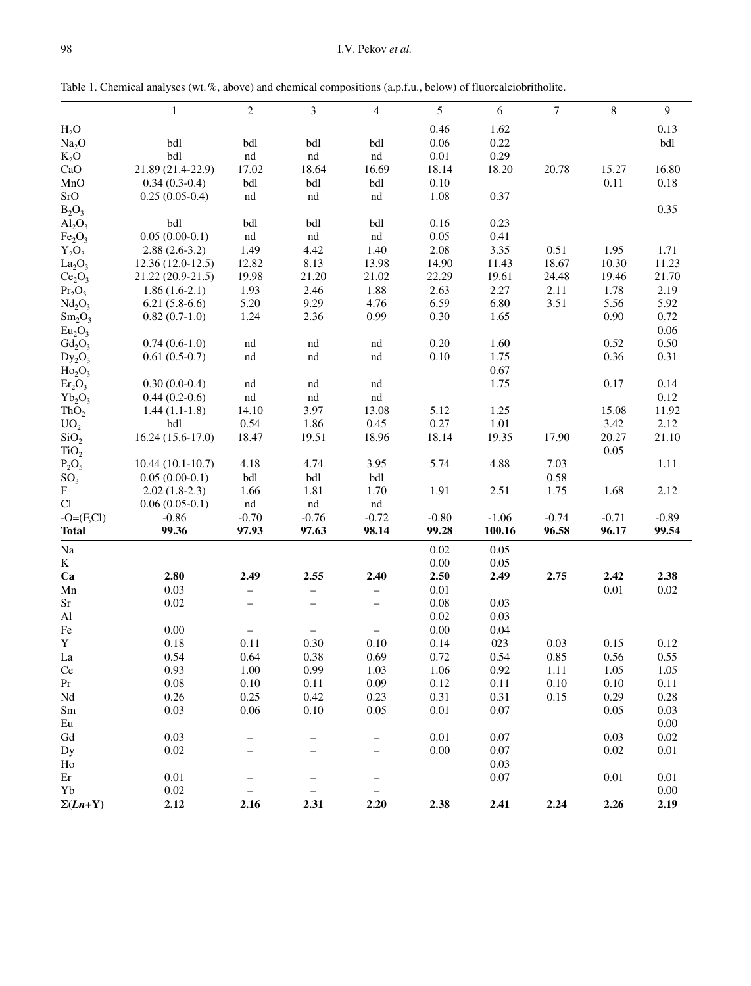Table 1. Chemical analyses (wt. %, above) and chemical compositions (a.p.f.u., below) of fluorcalciobritholite.

|                                | $\mathbf{1}$       | $\sqrt{2}$               | 3                        | $\overline{4}$           | 5        | 6       | 7        | $\,8\,$ | $\overline{9}$ |
|--------------------------------|--------------------|--------------------------|--------------------------|--------------------------|----------|---------|----------|---------|----------------|
| $H_2O$                         |                    |                          |                          |                          | 0.46     | 1.62    |          |         | 0.13           |
| Na <sub>2</sub> O              | bdl                | bdl                      | bdl                      | bdl                      | 0.06     | 0.22    |          |         | bdl            |
| $K_2O$                         | bdl                | nd                       | $^{\rm nd}$              | $^{\rm nd}$              | 0.01     | 0.29    |          |         |                |
| CaO                            | 21.89 (21.4-22.9)  | 17.02                    | 18.64                    | 16.69                    | 18.14    | 18.20   | 20.78    | 15.27   | 16.80          |
| MnO                            | $0.34(0.3-0.4)$    | bdl                      | bdl                      | bdl                      | 0.10     |         |          | 0.11    | 0.18           |
| SrO                            | $0.25(0.05-0.4)$   | nd                       | $^{\rm nd}$              | nd                       | 1.08     | 0.37    |          |         |                |
| $B_2O_3$                       |                    |                          |                          |                          |          |         |          |         | 0.35           |
| $Al_2O_3$                      | bdl                | bdl                      | bdl                      | bdl                      | 0.16     | 0.23    |          |         |                |
| Fe <sub>2</sub> O <sub>3</sub> | $0.05(0.00-0.1)$   | $^{\rm nd}$              | nd                       | nd                       | 0.05     | 0.41    |          |         |                |
| $Y_2O_3$                       | $2.88(2.6-3.2)$    | 1.49                     | 4.42                     | 1.40                     | 2.08     | 3.35    | 0.51     | 1.95    | 1.71           |
| La <sub>2</sub> O <sub>3</sub> | $12.36(12.0-12.5)$ | 12.82                    | 8.13                     | 13.98                    | 14.90    | 11.43   | 18.67    | 10.30   | 11.23          |
| Ce <sub>2</sub> O <sub>3</sub> | 21.22 (20.9-21.5)  | 19.98                    | 21.20                    | 21.02                    | 22.29    | 19.61   | 24.48    | 19.46   | 21.70          |
| Pr <sub>2</sub> O <sub>3</sub> | $1.86(1.6-2.1)$    | 1.93                     | 2.46                     | 1.88                     | 2.63     | 2.27    | 2.11     | 1.78    | 2.19           |
| Nd <sub>2</sub> O <sub>3</sub> | $6.21(5.8-6.6)$    | 5.20                     | 9.29                     | 4.76                     | 6.59     | 6.80    | 3.51     | 5.56    | 5.92           |
| $Sm_2O_3$                      | $0.82(0.7-1.0)$    | 1.24                     | 2.36                     | 0.99                     | 0.30     | 1.65    |          | 0.90    | 0.72           |
| Eu <sub>2</sub> O <sub>3</sub> |                    |                          |                          |                          |          |         |          |         | 0.06           |
| $Gd_2O_3$                      | $0.74(0.6-1.0)$    | nd                       | nd                       | $^{\rm nd}$              | 0.20     | 1.60    |          | 0.52    | 0.50           |
| $Dy_2O_3$                      | $0.61(0.5-0.7)$    | nd                       | nd                       | nd                       | 0.10     | 1.75    |          | 0.36    | 0.31           |
| Ho <sub>2</sub> O <sub>3</sub> |                    |                          |                          |                          |          | 0.67    |          |         |                |
| $Er_2O_3$                      | $0.30(0.0-0.4)$    | nd                       | nd                       | nd                       |          | 1.75    |          | 0.17    | 0.14           |
| $Yb_2O_3$                      | $0.44(0.2-0.6)$    | nd                       | nd                       | $^{\rm nd}$              |          |         |          |         | 0.12           |
| ThO <sub>2</sub>               | $1.44(1.1-1.8)$    | 14.10                    | 3.97                     | 13.08                    | 5.12     | 1.25    |          | 15.08   | 11.92          |
| UO <sub>2</sub>                | bdl                | 0.54                     | 1.86                     | 0.45                     | 0.27     | 1.01    |          | 3.42    | 2.12           |
| SiO <sub>2</sub>               | $16.24(15.6-17.0)$ | 18.47                    | 19.51                    | 18.96                    | 18.14    | 19.35   | 17.90    | 20.27   | 21.10          |
| TiO <sub>2</sub>               |                    |                          |                          |                          |          |         |          | 0.05    |                |
| $P_2O_5$                       | $10.44(10.1-10.7)$ | 4.18                     | 4.74                     | 3.95                     | 5.74     | 4.88    | 7.03     |         | 1.11           |
| SO <sub>3</sub>                | $0.05(0.00-0.1)$   | bdl                      | $bdl$                    | bdl                      |          |         | $0.58\,$ |         |                |
| $\mathbf{F}$                   | $2.02(1.8-2.3)$    | 1.66                     | 1.81                     | 1.70                     | 1.91     | 2.51    | 1.75     | 1.68    | 2.12           |
| Cl                             | $0.06(0.05-0.1)$   | $^{\rm nd}$              | nd                       | nd                       |          |         |          |         |                |
| $-O=(F,Cl)$                    | $-0.86$            | $-0.70$                  | $-0.76$                  | $-0.72$                  | $-0.80$  | $-1.06$ | $-0.74$  | $-0.71$ | $-0.89$        |
| <b>Total</b>                   | 99.36              | 97.93                    | 97.63                    | 98.14                    | 99.28    | 100.16  | 96.58    | 96.17   | 99.54          |
| Na                             |                    |                          |                          |                          | 0.02     | 0.05    |          |         |                |
| K                              |                    |                          |                          |                          | 0.00     | 0.05    |          |         |                |
| Ca                             | 2.80               | 2.49                     | 2.55                     | 2.40                     | 2.50     | 2.49    | 2.75     | 2.42    | 2.38           |
| Mn                             | 0.03               | $\qquad \qquad -$        | -                        | -                        | $0.01\,$ |         |          | 0.01    | $0.02\,$       |
| Sr                             | 0.02               | $\equiv$                 | $\overline{\phantom{0}}$ | $\overline{\phantom{0}}$ | $0.08\,$ | 0.03    |          |         |                |
| $\mathbf{A}$ l                 |                    |                          |                          |                          | 0.02     | 0.03    |          |         |                |
| $\rm Fe$                       | 0.00               |                          |                          |                          | 0.00     | 0.04    |          |         |                |
| $\mathbf Y$                    | 0.18               | 0.11                     | 0.30                     | 0.10                     | 0.14     | 023     | 0.03     | 0.15    | 0.12           |
| La                             | 0.54               | 0.64                     | 0.38                     | 0.69                     | 0.72     | 0.54    | 0.85     | 0.56    | 0.55           |
| Ce                             | 0.93               | 1.00                     | 0.99                     | 1.03                     | 1.06     | 0.92    | 1.11     | 1.05    | 1.05           |
| Pr                             | 0.08               | 0.10                     | 0.11                     | 0.09                     | 0.12     | 0.11    | 0.10     | 0.10    | 0.11           |
| $\rm Nd$                       | 0.26               | 0.25                     | 0.42                     | 0.23                     | 0.31     | 0.31    | 0.15     | 0.29    | 0.28           |
| $\rm Sm$                       | 0.03               | 0.06                     | $0.10\,$                 | 0.05                     | 0.01     | 0.07    |          | 0.05    | 0.03           |
| Eu                             |                    |                          |                          |                          |          |         |          |         | $0.00\,$       |
| Gd                             | 0.03               |                          |                          |                          | $0.01\,$ | 0.07    |          | 0.03    | $0.02\,$       |
| Dy                             | 0.02               |                          | -                        | -                        | 0.00     | 0.07    |          | 0.02    | 0.01           |
| Ho                             |                    |                          |                          |                          |          | 0.03    |          |         |                |
| Er                             | $0.01\,$           |                          |                          | —                        |          | 0.07    |          | 0.01    | $0.01\,$       |
| Yb                             | $0.02\,$           | $\overline{\phantom{0}}$ | $\qquad \qquad -$        | $\equiv$                 |          |         |          |         | $0.00\,$       |
| $\Sigma(Ln+Y)$                 | 2.12               | 2.16                     | 2.31                     | 2.20                     | 2.38     | 2.41    | 2.24     | 2.26    | 2.19           |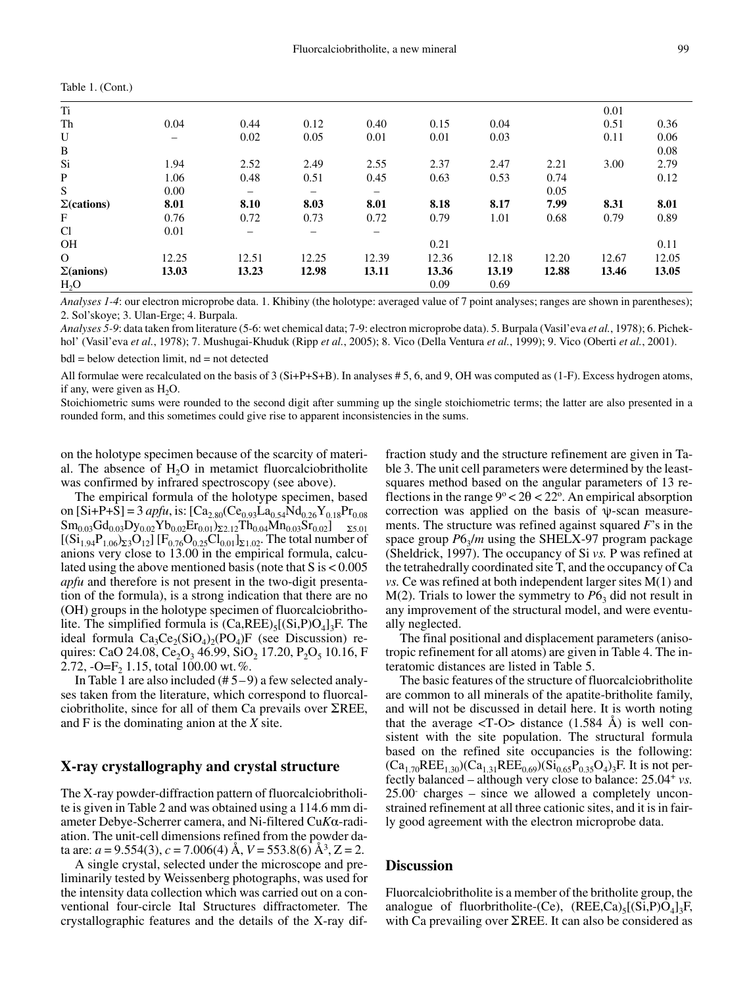| Table 1. (Cont.)   |       |                          |                   |                              |       |       |       |       |       |
|--------------------|-------|--------------------------|-------------------|------------------------------|-------|-------|-------|-------|-------|
| Ti                 |       |                          |                   |                              |       |       |       | 0.01  |       |
| Th                 | 0.04  | 0.44                     | 0.12              | 0.40                         | 0.15  | 0.04  |       | 0.51  | 0.36  |
| U                  |       | 0.02                     | 0.05              | 0.01                         | 0.01  | 0.03  |       | 0.11  | 0.06  |
| $\, {\bf B}$       |       |                          |                   |                              |       |       |       |       | 0.08  |
| Si                 | 1.94  | 2.52                     | 2.49              | 2.55                         | 2.37  | 2.47  | 2.21  | 3.00  | 2.79  |
| P                  | 1.06  | 0.48                     | 0.51              | 0.45                         | 0.63  | 0.53  | 0.74  |       | 0.12  |
| S                  | 0.00  | $\qquad \qquad -$        | $\qquad \qquad -$ | $\qquad \qquad \blacksquare$ |       |       | 0.05  |       |       |
| $\Sigma$ (cations) | 8.01  | 8.10                     | 8.03              | 8.01                         | 8.18  | 8.17  | 7.99  | 8.31  | 8.01  |
| F                  | 0.76  | 0.72                     | 0.73              | 0.72                         | 0.79  | 1.01  | 0.68  | 0.79  | 0.89  |
| Cl                 | 0.01  | $\overline{\phantom{m}}$ | —                 | $\overline{\phantom{0}}$     |       |       |       |       |       |
| <b>OH</b>          |       |                          |                   |                              | 0.21  |       |       |       | 0.11  |
| $\Omega$           | 12.25 | 12.51                    | 12.25             | 12.39                        | 12.36 | 12.18 | 12.20 | 12.67 | 12.05 |
| $\Sigma($ anions)  | 13.03 | 13.23                    | 12.98             | 13.11                        | 13.36 | 13.19 | 12.88 | 13.46 | 13.05 |
| $H_2O$             |       |                          |                   |                              | 0.09  | 0.69  |       |       |       |

Analyses 1-4: our electron microprobe data. 1. Khibiny (the holotype: averaged value of 7 point analyses; ranges are shown in parentheses); 2. Sol'skoye; 3. Ulan-Erge; 4. Burpala.

Analyses 5-9: data taken from literature (5-6: wet chemical data; 7-9: electron microprobe data). 5. Burpala (Vasil'eva et al., 1978); 6. Pichekhol' (Vasil'eva et al., 1978); 7. Mushugai-Khuduk (Ripp et al., 2005); 8. Vico (Della Ventura et al., 1999); 9. Vico (Oberti et al., 2001).

 $bdl = below detection limit, nd = not detected$ 

All formulae were recalculated on the basis of  $3(Si+P+S+B)$ . In analyses #5, 6, and 9, OH was computed as (1-F). Excess hydrogen atoms, if any, were given as  $H_2O$ .

Stoichiometric sums were rounded to the second digit after summing up the single stoichiometric terms; the latter are also presented in a rounded form, and this sometimes could give rise to apparent inconsistencies in the sums.

on the holotype specimen because of the scarcity of material. The absence of  $H<sub>2</sub>O$  in metamict fluorcalciobritholite was confirmed by infrared spectroscopy (see above).

The empirical formula of the holotype specimen, based on  $[Si+P+S] = 3$  apfu, is:  $[Ca_{2.80}(Ce_{0.93}La_{0.54}Nd_{0.26}Y_{0.18}Pr_{0.08}]$  $Sm_{0.03}Gd_{0.03}Dy_{0.02}Yb_{0.02}Er_{0.01}S_{2.12}Th_{0.04}Mn_{0.03}Sr_{0.02}J$   $_{25.01}$  $[(Si_{1.94}P_{1.06} )_{\Sigma 3}O_{12}]$  [F<sub>0.76</sub>O<sub>0.25</sub>Cl<sub>0.01</sub>]<sub> $\Sigma$ 1.02</sub>. The total number of anions very close to 13.00 in the empirical formula, calculated using the above mentioned basis (note that  $S$  is  $< 0.005$ ) *apfu* and therefore is not present in the two-digit presentation of the formula), is a strong indication that there are no (OH) groups in the holotype specimen of fluorcalciobritholite. The simplified formula is  $(Ca,REE)_{5}[(Si, P)O_{4}]_{3}F$ . The ideal formula  $Ca_3Ce_2(SiO_4)_2(PO_4)F$  (see Discussion) requires: CaO 24.08, Ce<sub>2</sub>O<sub>3</sub> 46.99, SiO<sub>2</sub> 17.20, P<sub>2</sub>O<sub>5</sub> 10.16, F 2.72, -O=F<sub>2</sub> 1.15, total 100.00 wt. %.

In Table 1 are also included  $(\# 5-9)$  a few selected analyses taken from the literature, which correspond to fluorcalciobritholite, since for all of them Ca prevails over  $\Sigma$ REE, and  $F$  is the dominating anion at the  $X$  site.

# X-ray crystallography and crystal structure

The X-ray powder-diffraction pattern of fluorcalciobritholite is given in Table 2 and was obtained using a 114.6 mm diameter Debye-Scherrer camera, and Ni-filtered CuKα-radiation. The unit-cell dimensions refined from the powder data are:  $a = 9.554(3)$ ,  $c = 7.006(4)$  Å,  $V = 553.8(6)$  Å<sup>3</sup>,  $Z = 2$ .

A single crystal, selected under the microscope and preliminarily tested by Weissenberg photographs, was used for the intensity data collection which was carried out on a conventional four-circle Ital Structures diffractometer. The crystallographic features and the details of the X-ray diffraction study and the structure refinement are given in Table 3. The unit cell parameters were determined by the leastsquares method based on the angular parameters of 13 reflections in the range  $9^{\circ}$  < 2 $\theta$  < 22°. An empirical absorption correction was applied on the basis of  $\psi$ -scan measurements. The structure was refined against squared  $F$ 's in the space group  $P6_3/m$  using the SHELX-97 program package (Sheldrick, 1997). The occupancy of Si vs. P was refined at the tetrahedrally coordinated site T, and the occupancy of Ca  $\nu$ s. Ce was refined at both independent larger sites M(1) and  $M(2)$ . Trials to lower the symmetry to  $P6<sub>3</sub>$  did not result in any improvement of the structural model, and were eventually neglected.

The final positional and displacement parameters (anisotropic refinement for all atoms) are given in Table 4. The interatomic distances are listed in Table 5.

The basic features of the structure of fluorcalciobritholite are common to all minerals of the apatite-britholite family, and will not be discussed in detail here. It is worth noting that the average  $\langle T-O \rangle$  distance (1.584 Å) is well consistent with the site population. The structural formula based on the refined site occupancies is the following:  $(Ca_{1.70}REE_{1.30})(Ca_{1.31}REE_{0.69})(Si_{0.65}P_{0.35}O_4)_3F$ . It is not perfectly balanced – although very close to balance:  $25.04$ <sup>+</sup> vs.  $25.00$  charges – since we allowed a completely unconstrained refinement at all three cationic sites, and it is in fairly good agreement with the electron microprobe data.

### **Discussion**

Fluorcalciobritholite is a member of the britholite group, the analogue of fluorbritholite-(Ce),  $(REE, Ca)_{5}[(Si, P)O_{4}]_{3}F$ , with Ca prevailing over  $\Sigma$ REE. It can also be considered as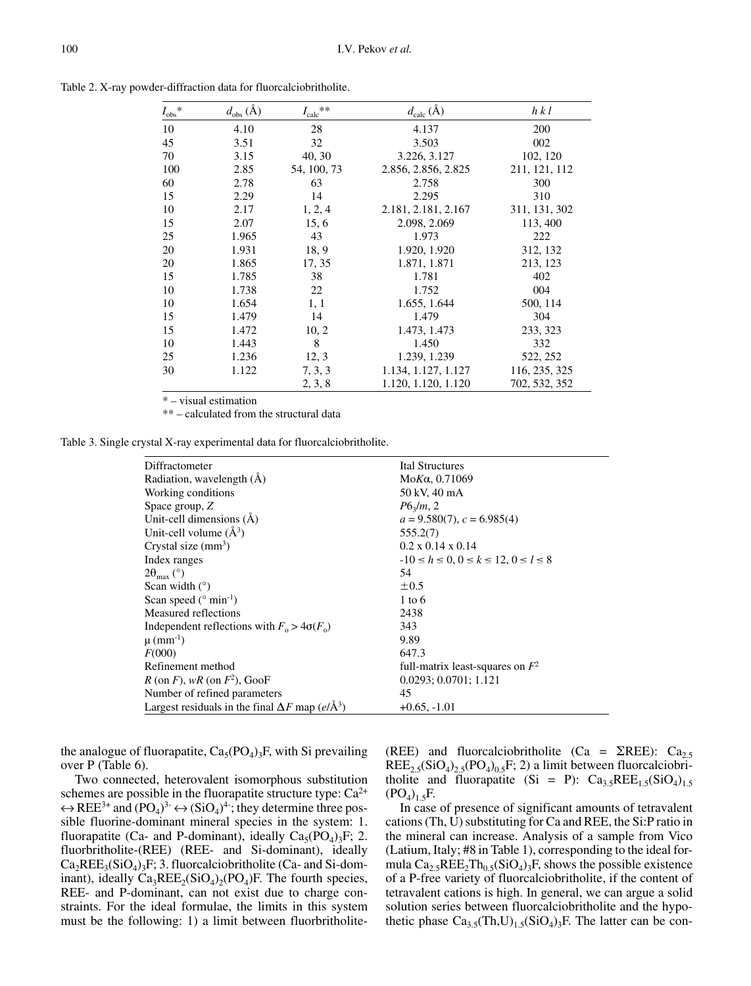| $I_{\rm obs}$ * | $d_{\text{obs}}(\text{\AA})$ | $I_{\text{calc}}{}^{**}$ | $d_{\text{calc}}(\text{Å})$ | h k l         |
|-----------------|------------------------------|--------------------------|-----------------------------|---------------|
| 10              | 4.10                         | 28                       | 4.137                       | 200           |
| 45              | 3.51                         | 32                       | 3.503                       | 002           |
| 70              | 3.15                         | 40, 30                   | 3.226, 3.127                | 102, 120      |
| 100             | 2.85                         | 54, 100, 73              | 2.856, 2.856, 2.825         | 211, 121, 112 |
| 60              | 2.78                         | 63                       | 2.758                       | 300           |
| 15              | 2.29                         | 14                       | 2.295                       | 310           |
| 10              | 2.17                         | 1, 2, 4                  | 2.181, 2.181, 2.167         | 311, 131, 302 |
| 15              | 2.07                         | 15, 6                    | 2.098, 2.069                | 113, 400      |
| 25              | 1.965                        | 43                       | 1.973                       | 222           |
| 20              | 1.931                        | 18, 9                    | 1.920, 1.920                | 312, 132      |
| 20              | 1.865                        | 17, 35                   | 1.871, 1.871                | 213, 123      |
| 15              | 1.785                        | 38                       | 1.781                       | 402           |
| 10              | 1.738                        | 22                       | 1.752                       | 004           |
| 10              | 1.654                        | 1, 1                     | 1.655, 1.644                | 500, 114      |
| 15              | 1.479                        | 14                       | 1.479                       | 304           |
| 15              | 1.472                        | 10, 2                    | 1.473, 1.473                | 233, 323      |
| 10              | 1.443                        | 8                        | 1.450                       | 332           |
| 25              | 1.236                        | 12, 3                    | 1.239, 1.239                | 522, 252      |
| 30              | 1.122                        | 7, 3, 3                  | 1.134, 1.127, 1.127         | 116, 235, 325 |
|                 |                              | 2, 3, 8                  | 1.120, 1.120, 1.120         | 702, 532, 352 |

Table 2. X-ray powder-diffraction data for fluorcalciobritholite.

\* – visual estimation

\*\*-calculated from the structural data

Table 3. Single crystal X-ray experimental data for fluorcalciobritholite.

| Diffractometer                                                         | Ital Structures                                  |
|------------------------------------------------------------------------|--------------------------------------------------|
| Radiation, wavelength (Å)                                              | MoKa, 0.71069                                    |
| Working conditions                                                     | 50 kV, 40 mA                                     |
| Space group, Z                                                         | $P6_{3}/m$ , 2                                   |
| Unit-cell dimensions $(\dot{A})$                                       | $a = 9.580(7)$ , $c = 6.985(4)$                  |
| Unit-cell volume $(\AA^3)$                                             | 555.2(7)                                         |
| Crystal size $(mm^3)$                                                  | $0.2 \times 0.14 \times 0.14$                    |
| Index ranges                                                           | $-10 \le h \le 0, 0 \le k \le 12, 0 \le l \le 8$ |
| $2\theta_{\text{max}}$ (°)                                             | 54                                               |
| Scan width $(°)$                                                       | $\pm 0.5$                                        |
| Scan speed ( $\degree$ min <sup>-1</sup> )                             | $1$ to 6                                         |
| Measured reflections                                                   | 2438                                             |
| Independent reflections with $F_0 > 4\sigma(F_0)$                      | 343                                              |
| $\mu$ (mm <sup>-1</sup> )                                              | 9.89                                             |
| F(000)                                                                 | 647.3                                            |
| Refinement method                                                      | full-matrix least-squares on $F^2$               |
| R (on F), wR (on $F^2$ ), GooF                                         | 0.0293; 0.0701; 1.121                            |
| Number of refined parameters                                           | 45                                               |
| Largest residuals in the final $\Delta F$ map (e/ $\AA$ <sup>3</sup> ) | $+0.65, -1.01$                                   |

the analogue of fluorapatite,  $Ca<sub>5</sub>(PO<sub>4</sub>)<sub>3</sub>F$ , with Si prevailing over P (Table 6).

Two connected, heterovalent isomorphous substitution schemes are possible in the fluorapatite structure type:  $Ca^{2+}$  $\leftrightarrow$  REE<sup>3+</sup> and  $(PO_4)^3$   $\leftrightarrow$   $(SiO_4)^4$ ; they determine three possible fluorine-dominant mineral species in the system: 1. fluorapatite (Ca- and P-dominant), ideally  $Ca<sub>5</sub>(PO<sub>4</sub>)<sub>3</sub>F$ ; 2. fluorbritholite-(REE) (REE- and Si-dominant), ideally  $Ca_2REE_3(SiO_4)_2F$ ; 3. fluorcalciobritholite (Ca- and Si-dominant), ideally  $Ca_3REE_2(SiO_4)_2(PO_4)F$ . The fourth species, REE- and P-dominant, can not exist due to charge constraints. For the ideal formulae, the limits in this system must be the following: 1) a limit between fluorbritholite(REE) and fluorcalciobritholite (Ca =  $\Sigma$ REE): Ca<sub>2.5</sub>  $REE_{2.5}(SiO<sub>4</sub>)<sub>2.5</sub>(PO<sub>4</sub>)<sub>0.5</sub>F; 2)$  a limit between fluorcalciobritholite and fluorapatite (Si = P):  $Ca_{3.5}REE_{1.5}(SiO_4)_{1.5}$  $(PO<sub>4</sub>)<sub>1.5</sub>F.$ 

In case of presence of significant amounts of tetravalent cations (Th, U) substituting for Ca and REE, the Si:P ratio in the mineral can increase. Analysis of a sample from Vico (Latium, Italy; #8 in Table 1), corresponding to the ideal formula  $Ca_2$ , REE<sub>2</sub>Th<sub>0.5</sub>(SiO<sub>4</sub>)<sub>3</sub>F, shows the possible existence of a P-free variety of fluorcalciobritholite, if the content of tetravalent cations is high. In general, we can argue a solid solution series between fluorcalciobritholite and the hypothetic phase  $Ca_{3.5}(Th, U)_{1.5}(SiO_4)_{3}F$ . The latter can be con-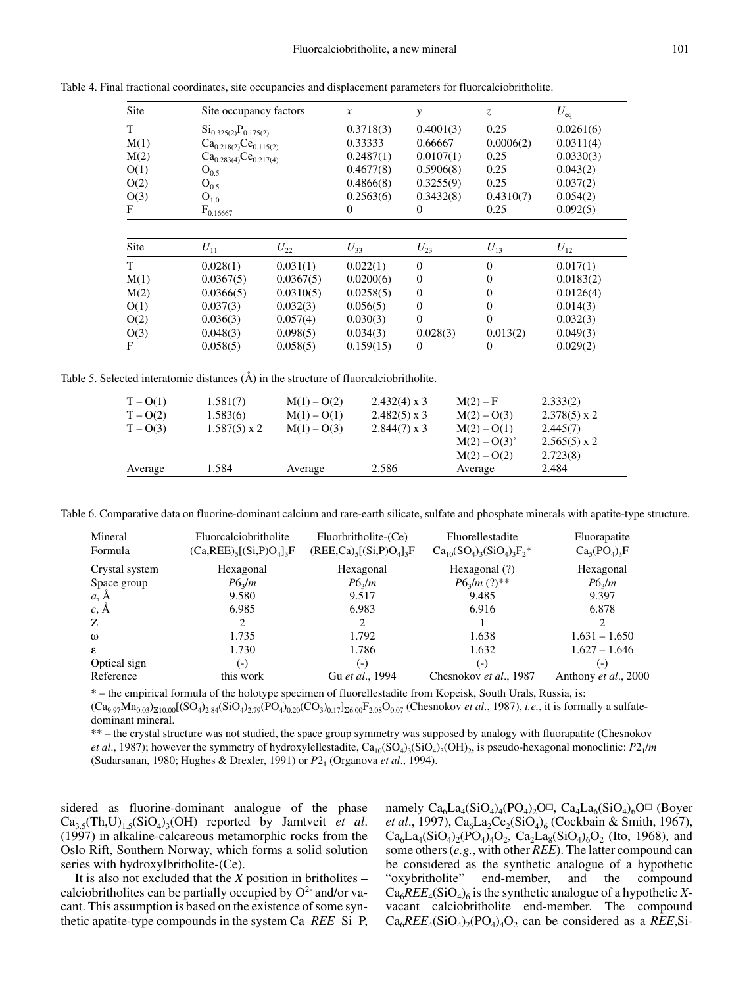| Site | Site occupancy factors       |           | x         | y              | Z              | $U_{\text{eq}}$ |
|------|------------------------------|-----------|-----------|----------------|----------------|-----------------|
| T    | $Si_{0.325(2)}P_{0.175(2)}$  |           | 0.3718(3) | 0.4001(3)      | 0.25           | 0.0261(6)       |
| M(1) | $Ca_{0.218(2)}Ce_{0.115(2)}$ |           | 0.33333   | 0.66667        | 0.0006(2)      | 0.0311(4)       |
| M(2) | $Ca_{0.283(4)}Ce_{0.217(4)}$ |           | 0.2487(1) | 0.0107(1)      | 0.25           | 0.0330(3)       |
| O(1) | $O_{0.5}$                    |           | 0.4677(8) | 0.5906(8)      | 0.25           | 0.043(2)        |
| O(2) | $O_{0.5}$                    |           | 0.4866(8) | 0.3255(9)      | 0.25           | 0.037(2)        |
| O(3) | $O_{1.0}$                    |           | 0.2563(6) | 0.3432(8)      | 0.4310(7)      | 0.054(2)        |
| F    | $F_{0.16667}$                |           | 0         | $\theta$       | 0.25           | 0.092(5)        |
|      |                              |           |           |                |                |                 |
| Site | $U_{11}$                     | $U_{22}$  | $U_{33}$  | $U_{23}$       | $U_{13}$       | $U_{12}$        |
| T    | 0.028(1)                     | 0.031(1)  | 0.022(1)  | $\theta$       | $\Omega$       | 0.017(1)        |
| M(1) | 0.0367(5)                    | 0.0367(5) | 0.0200(6) | $\overline{0}$ | $\overline{0}$ | 0.0183(2)       |
| M(2) | 0.0366(5)                    | 0.0310(5) | 0.0258(5) | $\mathbf{0}$   | $\overline{0}$ | 0.0126(4)       |
| O(1) | 0.037(3)                     | 0.032(3)  | 0.056(5)  | $\mathbf{0}$   | $\overline{0}$ | 0.014(3)        |
| O(2) | 0.036(3)                     | 0.057(4)  | 0.030(3)  | $\theta$       | $\overline{0}$ | 0.032(3)        |
| O(3) | 0.048(3)                     | 0.098(5)  | 0.034(3)  | 0.028(3)       | 0.013(2)       | 0.049(3)        |
| F    | 0.058(5)                     | 0.058(5)  | 0.159(15) | 0              | $\overline{0}$ | 0.029(2)        |

Table 4. Final fractional coordinates, site occupancies and displacement parameters for fluorcalciobritholite.

Table 5. Selected interatomic distances  $(\hat{A})$  in the structure of fluorcalciobritholite.

| $T - O(1)$<br>$T - O(2)$<br>$T - O(3)$ | 1.581(7)<br>1.583(6)<br>$1.587(5) \times 2$ | $M(1) - O(2)$<br>$M(1) - O(1)$<br>$M(1) - O(3)$ | $2.432(4)$ x 3<br>$2.482(5) \times 3$<br>$2.844(7) \times 3$ | $M(2) - F$<br>$M(2) - O(3)$<br>$M(2) - O(1)$<br>$M(2) - O(3)$ | 2.333(2)<br>$2.378(5) \times 2$<br>2.445(7)<br>$2.565(5) \times 2$ |  |
|----------------------------------------|---------------------------------------------|-------------------------------------------------|--------------------------------------------------------------|---------------------------------------------------------------|--------------------------------------------------------------------|--|
| Average                                | 1.584                                       | Average                                         | 2.586                                                        | $M(2) - O(2)$<br>Average                                      | 2.723(8)<br>2.484                                                  |  |

Table 6. Comparative data on fluorine-dominant calcium and rare-earth silicate, sulfate and phosphate minerals with apatite-type structure.

| Mineral<br>Formula | Fluorcalciobritholite<br>$(Ca,REE)_{5}[(Si, P)O_{4}]_{3}F$ | Fluorbritholite-(Ce)<br>$(REE, Ca)_{5}[(Si, P)O_{4}]_{3}F$ | Fluorellestadite<br>$Ca_{10}(SO_4)_3(SiO_4)_3F_2^*$ | Fluorapatite<br>$Ca5(PO4)3F$ |
|--------------------|------------------------------------------------------------|------------------------------------------------------------|-----------------------------------------------------|------------------------------|
| Crystal system     | Hexagonal                                                  | Hexagonal                                                  | Hexagonal $(?)$                                     | Hexagonal                    |
| Space group        | $P6_2/m$                                                   | $P6_2/m$                                                   | $P6_2/m$ (?)**                                      | $P6_{3}/m$                   |
| a, Ă               | 9.580                                                      | 9.517                                                      | 9.485                                               | 9.397                        |
| $c, \overline{A}$  | 6.985                                                      | 6.983                                                      | 6.916                                               | 6.878                        |
| Z                  | 2                                                          | 2                                                          |                                                     |                              |
| $\omega$           | 1.735                                                      | 1.792                                                      | 1.638                                               | $1.631 - 1.650$              |
| $\mathcal{E}$      | 1.730                                                      | 1.786                                                      | 1.632                                               | $1.627 - 1.646$              |
| Optical sign       | $(-)$                                                      | $(-)$                                                      | $(\textnormal{-})$                                  | $(-)$                        |
| Reference          | this work                                                  | Gu et al., 1994                                            | Chesnokov et al., 1987                              | Anthony et al., 2000         |

\* – the empirical formula of the holotype specimen of fluorellestadite from Kopeisk, South Urals, Russia, is:

 $(Ca_{9.97}Mn_{0.03})_{\Sigma10.00}[(SO_4)_{2.84}(SiO_4)_{2.79}(PO_4)_{0.20}(CO_3)_{0.17}]_{\Sigma6.00}F_{2.08}O_{0.07}$  (Chesnokov *et al.*, 1987), *i.e.*, it is formally a sulfatedominant mineral.

\*\* – the crystal structure was not studied, the space group symmetry was supposed by analogy with fluorapatite (Chesnokov *et al.*, 1987); however the symmetry of hydroxylellestadite,  $Ca_{10}(SO_4)_3(SiO_4)_3(OH)_2$ , is pseudo-hexagonal monoclinic:  $P2_1/m$ (Sudarsanan, 1980; Hughes & Drexler, 1991) or P2<sub>1</sub> (Organova et al., 1994).

sidered as fluorine-dominant analogue of the phase  $Ca_{3.5}(Th, U)_{1.5}(SiO<sub>4</sub>)_{3}(OH)$  reported by Jamtveit *et al.* (1997) in alkaline-calcareous metamorphic rocks from the Oslo Rift, Southern Norway, which forms a solid solution series with hydroxylbritholite-(Ce).

It is also not excluded that the  $X$  position in britholites – calciobritholites can be partially occupied by  $O<sup>2</sup>$  and/or vacant. This assumption is based on the existence of some synthetic apatite-type compounds in the system Ca–REE–Si–P, namely  $Ca_6La_4(SiO_4)_4(PO_4)_2O \square$ ,  $Ca_4La_6(SiO_4)_6O \square$  (Boyer *et al.*, 1997),  $Ca_6La_2Ce_2(SiO_4)_6$  (Cockbain & Smith, 1967),  $Ca_6La_4(SiO_4)_{2}(PO_4)_4O_2$ ,  $Ca_2La_8(SiO_4)_{6}O_2$  (Ito, 1968), and some others  $(e.g., with other *REE*)$ . The latter compound can be considered as the synthetic analogue of a hypothetic "oxybritholite" end-member, and the compound  $Ca<sub>6</sub>REE<sub>4</sub>(SiO<sub>4</sub>)<sub>6</sub>$  is the synthetic analogue of a hypothetic Xvacant calciobritholite end-member. The compound  $Ca_6REE_4(SiO_4)_{2}(PO_4)_{4}O_2$  can be considered as a REE, Si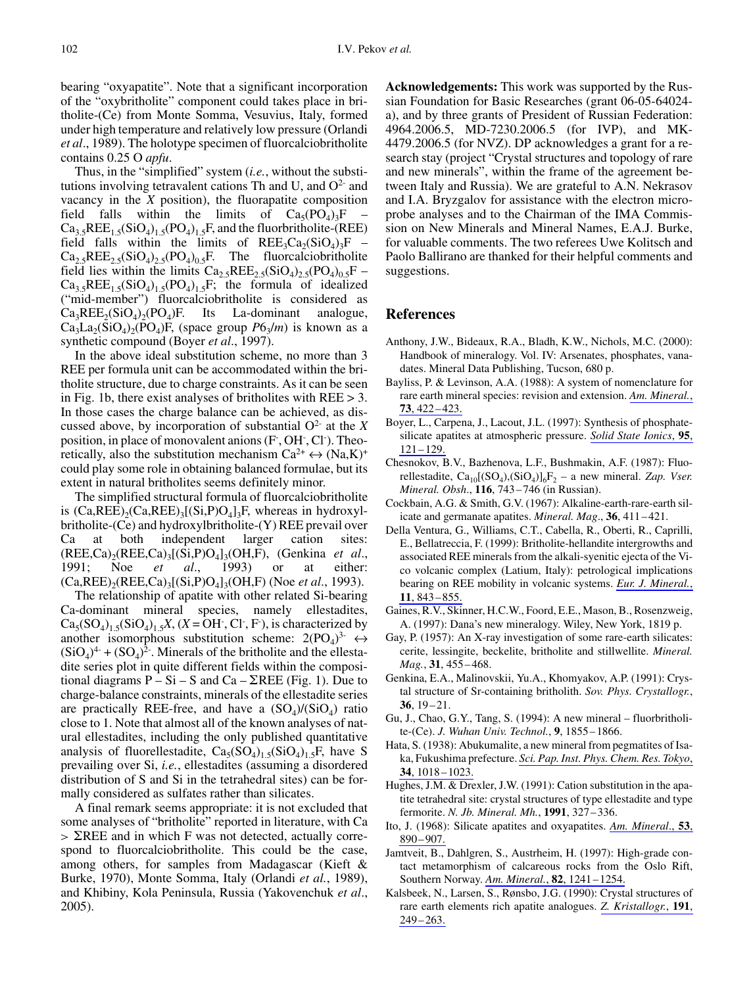bearing "oxyapatite". Note that a significant incorporation of the "oxybritholite" component could takes place in britholite-(Ce) from Monte Somma, Vesuvius, Italy, formed under high temperature and relatively low pressure (Orlandi *et al.*, 1989). The holotype specimen of fluorcalciobritholite contains 0.25 O apfu.

Thus, in the "simplified" system (*i.e.*, without the substitutions involving tetravalent cations Th and U, and  $O<sup>2</sup>$  and vacancy in the  $X$  position), the fluorapatite composition field falls within the limits of  $Ca<sub>5</sub>(PO<sub>4</sub>)<sub>2</sub>F$  $Ca<sub>3</sub> sREE<sub>1.5</sub>(SiO<sub>4</sub>)<sub>1.5</sub>(PO<sub>4</sub>)<sub>1.5</sub>F, and the fluorbritholite-(REE)$ field falls within the limits of  $REE<sub>3</sub>Ca<sub>2</sub>(SiO<sub>A</sub>)<sub>3</sub>F$  $Ca_{2.5}REE_{2.5}(SiO_4)_{2.5}(PO_4)_{0.5}F$ . The fluorcalciobritholite field lies within the limits  $Ca_{2.5}REE_{2.5}(SiO_4)_{2.5}(PO_4)_{0.5}F Ca_3$ , REE<sub>15</sub>(SiO<sub>4</sub>)<sub>15</sub>(PO<sub>4</sub>)<sub>15</sub>F; the formula of idealized ("mid-member") fluorcalciobritholite is considered as  $Ca_3REE_2(SiO_4)_2(PO_4)F.$ Its La-dominant analogue,  $Ca_3La_2(SiO_4)_2(PO_4)F$ , (space group  $P6_3/m$ ) is known as a synthetic compound (Boyer et al., 1997).

In the above ideal substitution scheme, no more than 3 REE per formula unit can be accommodated within the britholite structure, due to charge constraints. As it can be seen in Fig. 1b, there exist analyses of britholites with  $RE \geq 3$ . In those cases the charge balance can be achieved, as discussed above, by incorporation of substantial  $O^2$  at the X position, in place of monovalent anions (F, OH, Cl). Theoretically, also the substitution mechanism  $Ca^{2+} \leftrightarrow (Na,K)^+$ could play some role in obtaining balanced formulae, but its extent in natural britholites seems definitely minor.

The simplified structural formula of fluorcalciobritholite is  $(Ca,REE)_{2}(Ca,REE)_{3}[(Si, P)O_{4}]_{3}F$ , whereas in hydroxylbritholite-(Ce) and hydroxylbritholite-(Y) REE prevail over both independent larger cation Ca at sites:  $(REE, Ca)_{2}(REE, Ca)_{3}[(Si, P)O_{4}]_{3}(OH, F),$  (Genkina et al., 1991; 1993) either: Noe  $al.,$ <sub>or</sub>  $et$ **at**  $(Ca,REE)_{2}(REE, Ca)_{3}[(Si, P)O_{4}]_{3}(OH, F)$  (Noe *et al.*, 1993).

The relationship of apatite with other related Si-bearing Ca-dominant mineral species, namely ellestadites.  $Ca_5(SO_4)_{1.5}(SiO_4)_{1.5}X$ ,  $(X = OH^{\dagger}, Cl^{\dagger}, F^{\dagger})$ , is characterized by another isomorphous substitution scheme:  $2(PO_4)^3$   $\leftrightarrow$  $(SiO<sub>4</sub>)<sup>4</sup> + (SO<sub>4</sub>)<sup>2</sup>$ . Minerals of the britholite and the ellestadite series plot in quite different fields within the compositional diagrams  $P - Si - S$  and  $Ca - \Sigma REE$  (Fig. 1). Due to charge-balance constraints, minerals of the ellestadite series are practically REE-free, and have a  $(SO<sub>A</sub>)/(SiO<sub>A</sub>)$  ratio close to 1. Note that almost all of the known analyses of natural ellestadites, including the only published quantitative analysis of fluorellestadite,  $Ca<sub>5</sub>(SO<sub>4</sub>)<sub>1.5</sub>(SiO<sub>4</sub>)<sub>1.5</sub>F$ , have S prevailing over Si, *i.e.*, ellestadites (assuming a disordered distribution of S and Si in the tetrahedral sites) can be formally considered as sulfates rather than silicates.

A final remark seems appropriate: it is not excluded that some analyses of "britholite" reported in literature, with Ca  $>$   $\Sigma$ REE and in which F was not detected, actually correspond to fluorcalciobritholite. This could be the case, among others, for samples from Madagascar (Kieft & Burke, 1970), Monte Somma, Italy (Orlandi et al., 1989), and Khibiny, Kola Peninsula, Russia (Yakovenchuk et al.,  $2005$ ).

**Acknowledgements:** This work was supported by the Russian Foundation for Basic Researches (grant 06-05-64024a), and by three grants of President of Russian Federation: 4964.2006.5, MD-7230.2006.5 (for IVP), and MK-4479.2006.5 (for NVZ). DP acknowledges a grant for a research stay (project "Crystal structures and topology of rare and new minerals", within the frame of the agreement between Italy and Russia). We are grateful to A.N. Nekrasov and I.A. Bryzgalov for assistance with the electron microprobe analyses and to the Chairman of the IMA Commission on New Minerals and Mineral Names, E.A.J. Burke, for valuable comments. The two referees Uwe Kolitsch and Paolo Ballirano are thanked for their helpful comments and suggestions.

#### **References**

- Anthony, J.W., Bideaux, R.A., Bladh, K.W., Nichols, M.C. (2000): Handbook of mineralogy. Vol. IV: Arsenates, phosphates, vanadates. Mineral Data Publishing, Tucson, 680 p.
- Bayliss, P. & Levinson, A.A. (1988): A system of nomenclature for rare earth mineral species: revision and extension. Am. Mineral.,  $73,422-423.$
- Boyer, L., Carpena, J., Lacout, J.L. (1997): Synthesis of phosphatesilicate apatites at atmospheric pressure. Solid State Ionics, 95,  $121 - 129.$
- Chesnokov, B.V., Bazhenova, L.F., Bushmakin, A.F. (1987): Fluorellestadite,  $Ca_{10}[(SO_4),(SiO_4)]_6F_2$  – a new mineral. Zap. Vser. Mineral. Obsh., 116, 743-746 (in Russian).
- Cockbain, A.G. & Smith, G.V. (1967): Alkaline-earth-rare-earth silicate and germanate apatites. *Mineral. Mag.*, 36, 411–421.
- Della Ventura, G., Williams, C.T., Cabella, R., Oberti, R., Caprilli, E., Bellatreccia, F. (1999): Britholite-hellandite intergrowths and associated REE minerals from the alkali-syenitic ejecta of the Vico volcanic complex (Latium, Italy): petrological implications bearing on REE mobility in volcanic systems. Eur. J. Mineral.,  $11, 843 - 855.$
- Gaines, R.V., Skinner, H.C.W., Foord, E.E., Mason, B., Rosenzweig, A. (1997): Dana's new mineralogy. Wiley, New York, 1819 p.
- Gay, P. (1957): An X-ray investigation of some rare-earth silicates: cerite, lessingite, beckelite, britholite and stillwellite. Mineral. Mag., 31, 455-468.
- Genkina, E.A., Malinovskii, Yu.A., Khomyakov, A.P. (1991): Crystal structure of Sr-containing britholith. Sov. Phys. Crystallogr.,  $36, 19 - 21.$
- Gu, J., Chao, G.Y., Tang, S. (1994): A new mineral fluorbritholite-(Ce). J. Wuhan Univ. Technol., 9, 1855-1866.
- Hata, S. (1938): Abukumalite, a new mineral from pegmatites of Isaka, Fukushima prefecture. Sci. Pap. Inst. Phys. Chem. Res. Tokyo, 34, 1018 - 1023.
- Hughes, J.M. & Drexler, J.W. (1991): Cation substitution in the apatite tetrahedral site: crystal structures of type ellestadite and type fermorite. N. Jb. Mineral. Mh., 1991, 327-336.
- Ito, J. (1968): Silicate apatites and oxyapatites. Am. Mineral., 53, 890-907.
- Jamtveit, B., Dahlgren, S., Austrheim, H. (1997): High-grade contact metamorphism of calcareous rocks from the Oslo Rift, Southern Norway. Am. Mineral., 82, 1241-1254.
- Kalsbeek, N., Larsen, S., Rønsbo, J.G. (1990): Crystal structures of rare earth elements rich apatite analogues. Z. Kristallogr., 191,  $249 - 263$ .